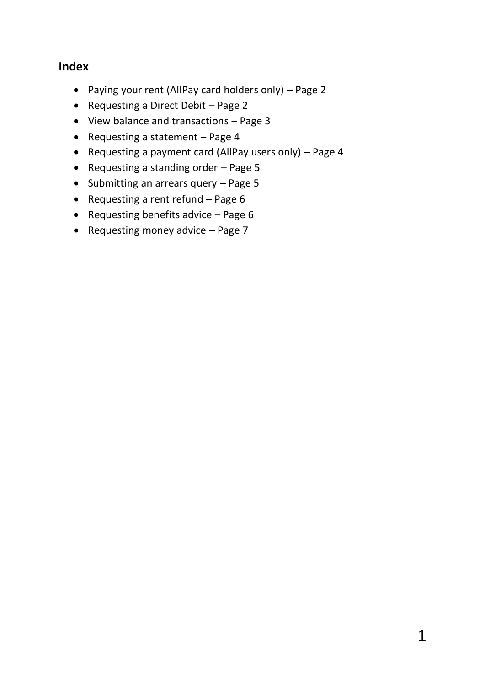### **Index**

- Paying your rent (AllPay card holders only) Page 2
- Requesting a Direct Debit Page 2
- View balance and transactions Page 3
- Requesting a statement  $-$  Page 4
- Requesting a payment card (AllPay users only) Page 4
- Requesting a standing order  $-$  Page 5
- $\bullet$  Submitting an arrears query Page 5
- Requesting a rent refund  $-$  Page 6
- Requesting benefits advice  $-$  Page 6
- Requesting money advice  $-$  Page 7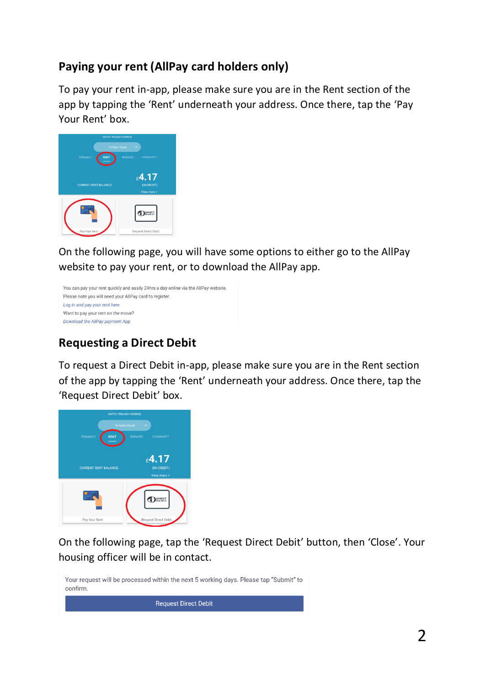# **Paying your rent (AllPay card holders only)**

To pay your rent in-app, please make sure you are in the Rent section of the app by tapping the 'Rent' underneath your address. Once there, tap the 'Pay Your Rent' box.



On the following page, you will have some options to either go to the AllPay website to pay your rent, or to download the AllPay app.



# **Requesting a Direct Debit**

To request a Direct Debit in-app, please make sure you are in the Rent section of the app by tapping the 'Rent' underneath your address. Once there, tap the 'Request Direct Debit' box.



On the following page, tap the 'Request Direct Debit' button, then 'Close'. Your housing officer will be in contact.

Your request will be processed within the next 5 working days. Please tap "Submit" to confirm. **Request Direct Debit** 

2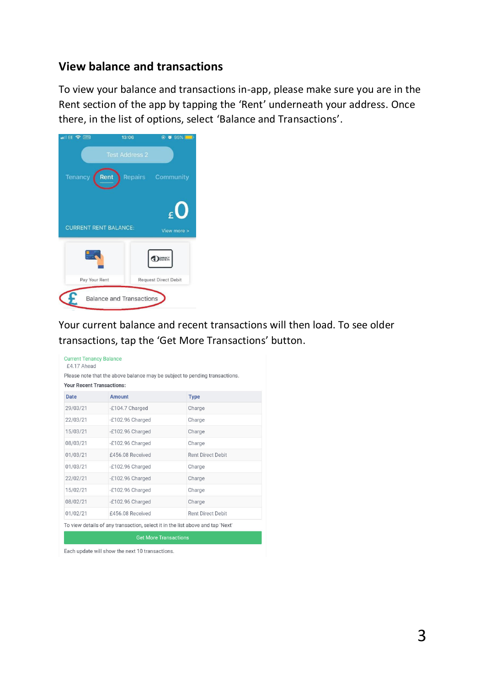### **View balance and transactions**

To view your balance and transactions in-app, please make sure you are in the Rent section of the app by tapping the 'Rent' underneath your address. Once there, in the list of options, select 'Balance and Transactions'.



Your current balance and recent transactions will then load. To see older transactions, tap the 'Get More Transactions' button.

|                                  | Please note that the above balance may be subject to pending transactions. |                          |  |  |
|----------------------------------|----------------------------------------------------------------------------|--------------------------|--|--|
| <b>Your Recent Transactions:</b> |                                                                            |                          |  |  |
| <b>Date</b>                      | <b>Amount</b>                                                              | <b>Type</b>              |  |  |
| 29/03/21                         | -£104.7 Charged                                                            | Charge                   |  |  |
| 22/03/21                         | -£102.96 Charged                                                           | Charge                   |  |  |
| 15/03/21                         | -£102.96 Charged                                                           | Charge                   |  |  |
| 08/03/21                         | -£102.96 Charged                                                           | Charge                   |  |  |
| 01/03/21                         | £456.08 Received                                                           | <b>Rent Direct Debit</b> |  |  |
| 01/03/21                         | -£102.96 Charged                                                           | Charge                   |  |  |
| 22/02/21                         | -£102.96 Charged                                                           | Charge                   |  |  |
| 15/02/21                         | -£102.96 Charged                                                           | Charge                   |  |  |
| 08/02/21                         | -£102.96 Charged                                                           | Charge                   |  |  |
| 01/02/21                         | £456.08 Received                                                           | <b>Rent Direct Debit</b> |  |  |

**Get More Transactions** 

Each update will show the next 10 transactions.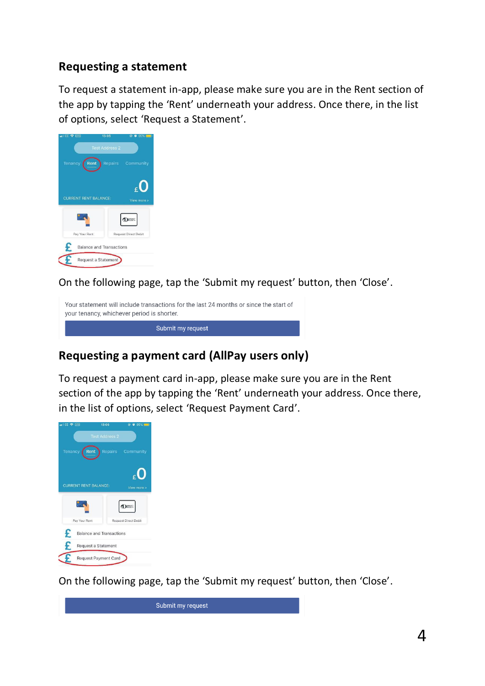## **Requesting a statement**

To request a statement in-app, please make sure you are in the Rent section of the app by tapping the 'Rent' underneath your address. Once there, in the list of options, select 'Request a Statement'.



On the following page, tap the 'Submit my request' button, then 'Close'.

Your statement will include transactions for the last 24 months or since the start of your tenancy, whichever period is shorter. Submit my request

## **Requesting a payment card (AllPay users only)**

To request a payment card in-app, please make sure you are in the Rent section of the app by tapping the 'Rent' underneath your address. Once there, in the list of options, select 'Request Payment Card'.



On the following page, tap the 'Submit my request' button, then 'Close'.

Submit my request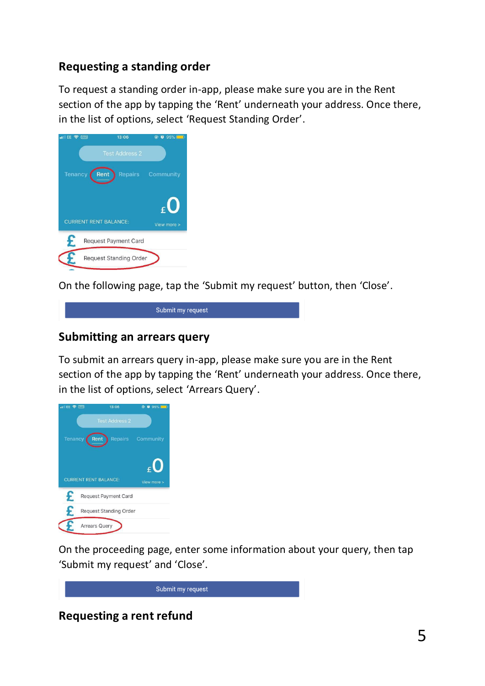## **Requesting a standing order**

To request a standing order in-app, please make sure you are in the Rent section of the app by tapping the 'Rent' underneath your address. Once there, in the list of options, select 'Request Standing Order'.



On the following page, tap the 'Submit my request' button, then 'Close'.



### **Submitting an arrears query**

To submit an arrears query in-app, please make sure you are in the Rent section of the app by tapping the 'Rent' underneath your address. Once there, in the list of options, select 'Arrears Query'.



On the proceeding page, enter some information about your query, then tap 'Submit my request' and 'Close'.

Submit my request

**Requesting a rent refund**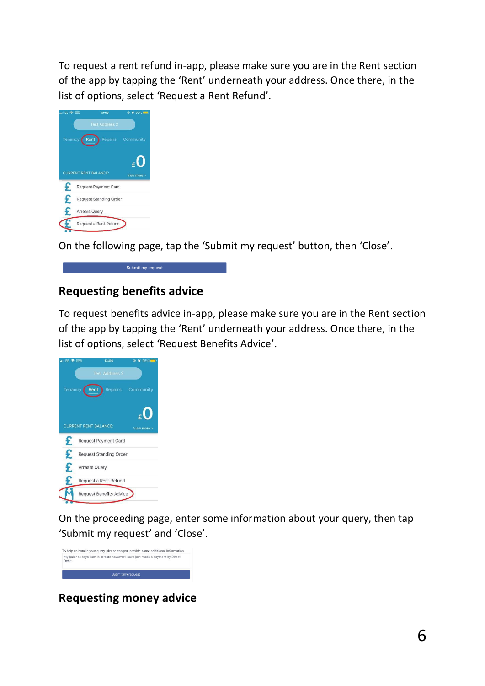To request a rent refund in-app, please make sure you are in the Rent section of the app by tapping the 'Rent' underneath your address. Once there, in the list of options, select 'Request a Rent Refund'.

| ull EE 令 (VPM)       |                      | 13:06                        | @ 0 95% E         |
|----------------------|----------------------|------------------------------|-------------------|
|                      |                      | <b>Test Address 2</b>        |                   |
| Tenancy <sup>1</sup> | Rent                 |                              | Repairs Community |
|                      |                      |                              |                   |
|                      |                      |                              |                   |
|                      |                      |                              |                   |
|                      |                      | <b>CURRENT RENT BALANCE:</b> | View more >       |
| £                    |                      | Request Payment Card         |                   |
| £                    |                      | Request Standing Order       |                   |
| F                    | <b>Arrears Query</b> |                              |                   |

On the following page, tap the 'Submit my request' button, then 'Close'.

# Submit my request

# **Requesting benefits advice**

To request benefits advice in-app, please make sure you are in the Rent section of the app by tapping the 'Rent' underneath your address. Once there, in the list of options, select 'Request Benefits Advice'.

| EE & WPN       | 13:06                          | © © 95%           |
|----------------|--------------------------------|-------------------|
|                | <b>Test Address 2</b>          |                   |
| <b>Tenancy</b> | Rent                           | Repairs Community |
|                | <b>CURRENT RENT BALANCE:</b>   | View more >       |
| £              | <b>Request Payment Card</b>    |                   |
| £              | <b>Request Standing Order</b>  |                   |
| £              | <b>Arrears Query</b>           |                   |
|                | Request a Rent Refund          |                   |
|                | <b>Request Benefits Advice</b> |                   |

On the proceeding page, enter some information about your query, then tap 'Submit my request' and 'Close'.



**Requesting money advice**